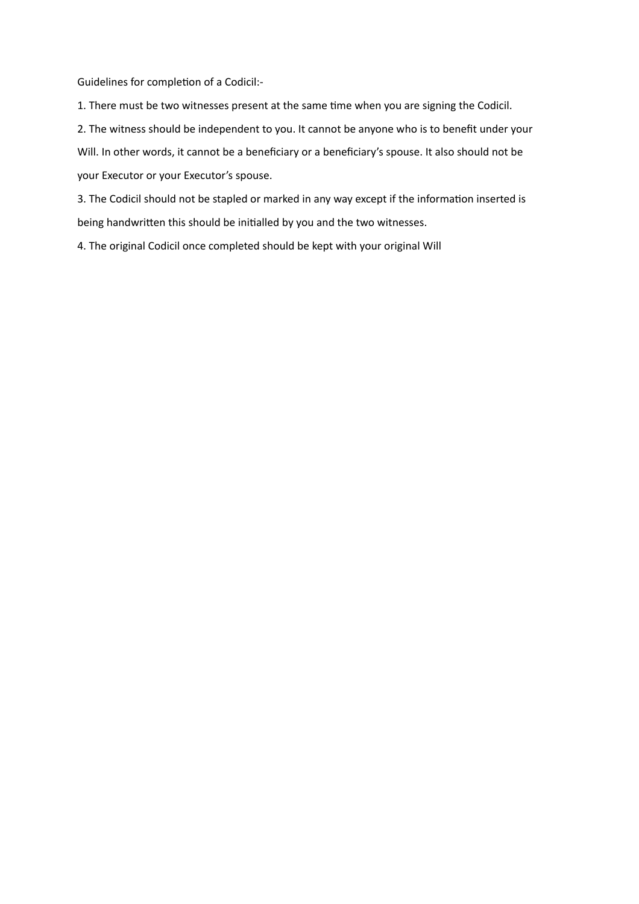Guidelines for completion of a Codicil:-

1. There must be two witnesses present at the same time when you are signing the Codicil.

2. The witness should be independent to you. It cannot be anyone who is to benefit under your

Will. In other words, it cannot be a beneficiary or a beneficiary's spouse. It also should not be your Executor or your Executor's spouse.

3. The Codicil should not be stapled or marked in any way except if the information inserted is being handwritten this should be initialled by you and the two witnesses.

4. The original Codicil once completed should be kept with your original Will